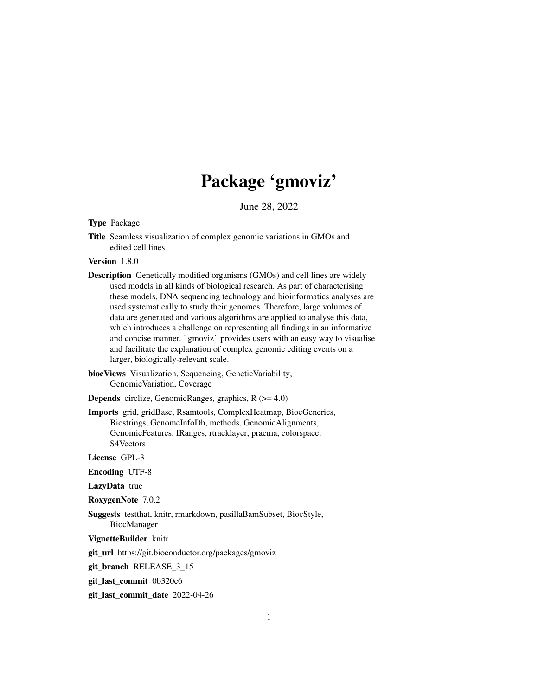## Package 'gmoviz'

June 28, 2022

#### <span id="page-0-0"></span>Type Package

Title Seamless visualization of complex genomic variations in GMOs and edited cell lines

Version 1.8.0

Description Genetically modified organisms (GMOs) and cell lines are widely used models in all kinds of biological research. As part of characterising these models, DNA sequencing technology and bioinformatics analyses are used systematically to study their genomes. Therefore, large volumes of data are generated and various algorithms are applied to analyse this data, which introduces a challenge on representing all findings in an informative and a systematically to study their genomes. Therefore, targe volumes of<br>data are generated and various algorithms are applied to analyse this data,<br>which introduces a challenge on representing all findings in an informati and facilitate the explanation of complex genomic editing events on a larger, biologically-relevant scale.

biocViews Visualization, Sequencing, GeneticVariability, GenomicVariation, Coverage

**Depends** circlize, GenomicRanges, graphics,  $R$  ( $>= 4.0$ )

Imports grid, gridBase, Rsamtools, ComplexHeatmap, BiocGenerics, Biostrings, GenomeInfoDb, methods, GenomicAlignments, GenomicFeatures, IRanges, rtracklayer, pracma, colorspace, S4Vectors

License GPL-3

Encoding UTF-8

LazyData true

RoxygenNote 7.0.2

Suggests testthat, knitr, rmarkdown, pasillaBamSubset, BiocStyle, BiocManager

VignetteBuilder knitr

git\_url https://git.bioconductor.org/packages/gmoviz

git branch RELEASE 3 15

git\_last\_commit 0b320c6

git\_last\_commit\_date 2022-04-26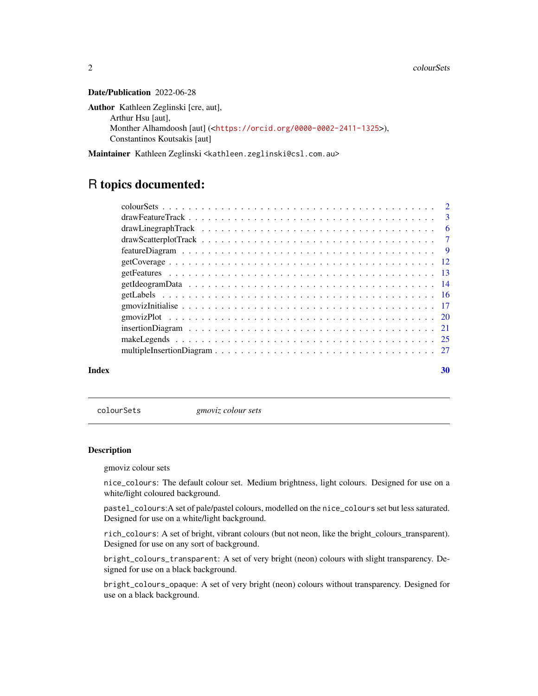#### <span id="page-1-0"></span>Date/Publication 2022-06-28

```
Author Kathleen Zeglinski [cre, aut],
     Arthur Hsu [aut],
     Monther Alhamdoosh [aut] (<https://orcid.org/0000-0002-2411-1325>),
     Constantinos Koutsakis [aut]
```
Maintainer Kathleen Zeglinski <kathleen.zeglinski@csl.com.au>

### R topics documented:

| Index | 30 |
|-------|----|
|       |    |
|       |    |
|       |    |
|       |    |
|       |    |
|       |    |
|       |    |
|       |    |
|       |    |
|       |    |
|       |    |
|       |    |
|       |    |
|       |    |

<span id="page-1-2"></span>colourSets *gmoviz colour sets*

#### <span id="page-1-1"></span>Description

gmoviz colour sets

nice\_colours: The default colour set. Medium brightness, light colours. Designed for use on a white/light coloured background.

pastel\_colours:A set of pale/pastel colours, modelled on the nice\_colours set but less saturated. Designed for use on a white/light background.

rich\_colours: A set of bright, vibrant colours (but not neon, like the bright\_colours\_transparent). Designed for use on any sort of background.

bright\_colours\_transparent: A set of very bright (neon) colours with slight transparency. Designed for use on a black background.

bright\_colours\_opaque: A set of very bright (neon) colours without transparency. Designed for use on a black background.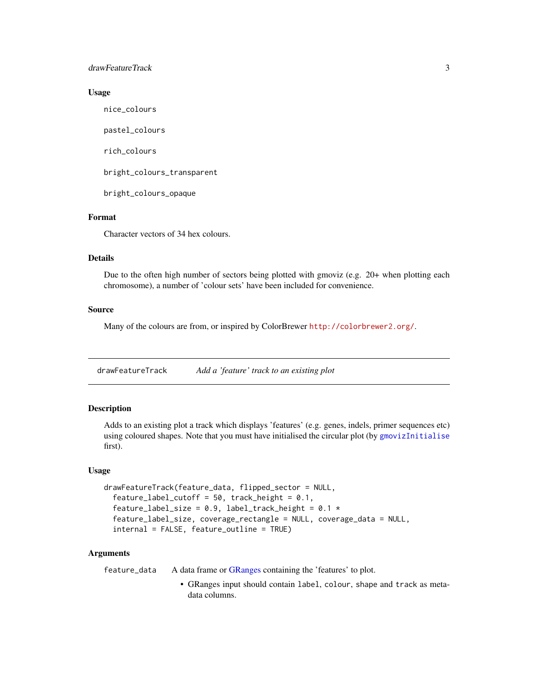#### <span id="page-2-0"></span>drawFeatureTrack 3

#### Usage

nice\_colours

pastel\_colours

rich\_colours

bright\_colours\_transparent

bright\_colours\_opaque

#### Format

Character vectors of 34 hex colours.

#### Details

Due to the often high number of sectors being plotted with gmoviz (e.g. 20+ when plotting each chromosome), a number of 'colour sets' have been included for convenience.

#### Source

Many of the colours are from, or inspired by ColorBrewer <http://colorbrewer2.org/>.

<span id="page-2-1"></span>drawFeatureTrack *Add a 'feature' track to an existing plot*

#### Description

Adds to an existing plot a track which displays 'features' (e.g. genes, indels, primer sequences etc) using coloured shapes. Note that you must have initialised the circular plot (by [gmovizInitialise](#page-16-1) first).

#### Usage

```
drawFeatureTrack(feature_data, flipped_sector = NULL,
  feature_label_cutoff = 50, track_height = 0.1,
  feature_label_size = 0.9, label_track_height = 0.1 *feature_label_size, coverage_rectangle = NULL, coverage_data = NULL,
  internal = FALSE, feature_outline = TRUE)
```
#### Arguments

feature\_data A data frame or [GRanges](#page-0-0) containing the 'features' to plot.

• GRanges input should contain label, colour, shape and track as metadata columns.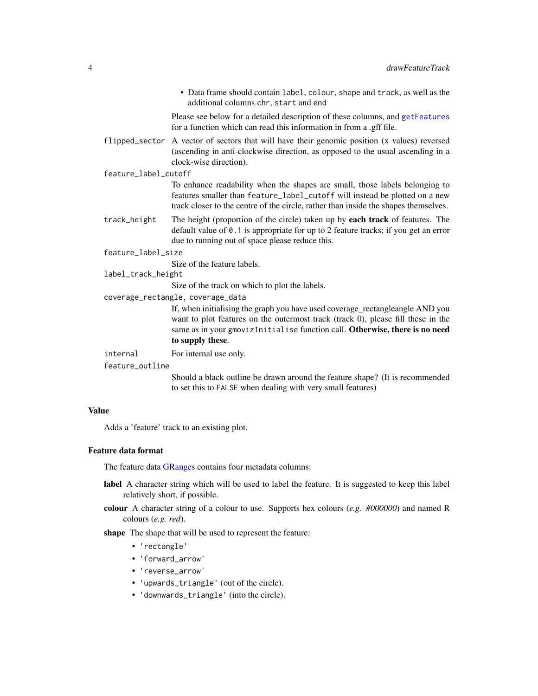• Data frame should contain label, colour, shape and track, as well as the additional columns chr, start and end

Please see below for a detailed description of these columns, and [getFeatures](#page-12-1) for a function which can read this information in from a .gff file.

- <span id="page-3-0"></span>flipped\_sector A vector of sectors that will have their genomic position (x values) reversed (ascending in anti-clockwise direction, as opposed to the usual ascending in a clock-wise direction).
- feature\_label\_cutoff

To enhance readability when the shapes are small, those labels belonging to features smaller than feature\_label\_cutoff will instead be plotted on a new track closer to the centre of the circle, rather than inside the shapes themselves.

- track\_height The height (proportion of the circle) taken up by **each track** of features. The default value of 0.1 is appropriate for up to 2 feature tracks; if you get an error due to running out of space please reduce this.
- feature\_label\_size

Size of the feature labels.

label\_track\_height

Size of the track on which to plot the labels.

coverage\_rectangle, coverage\_data

If, when initialising the graph you have used coverage\_rectangleangle AND you want to plot features on the outermost track (track 0), please fill these in the same as in your gmovizInitialise function call. Otherwise, there is no need to supply these.

- internal For internal use only.
- feature\_outline

Should a black outline be drawn around the feature shape? (It is recommended to set this to FALSE when dealing with very small features)

#### Value

Adds a 'feature' track to an existing plot.

#### Feature data format

The feature data [GRanges](#page-0-0) contains four metadata columns:

- label A character string which will be used to label the feature. It is suggested to keep this label relatively short, if possible.
- colour A character string of a colour to use. Supports hex colours (*e.g. #000000*) and named R colours (*e.g. red*).
- shape The shape that will be used to represent the feature:
	- 'rectangle'
	- 'forward\_arrow'
	- 'reverse\_arrow'
	- 'upwards\_triangle' (out of the circle).
	- 'downwards\_triangle' (into the circle).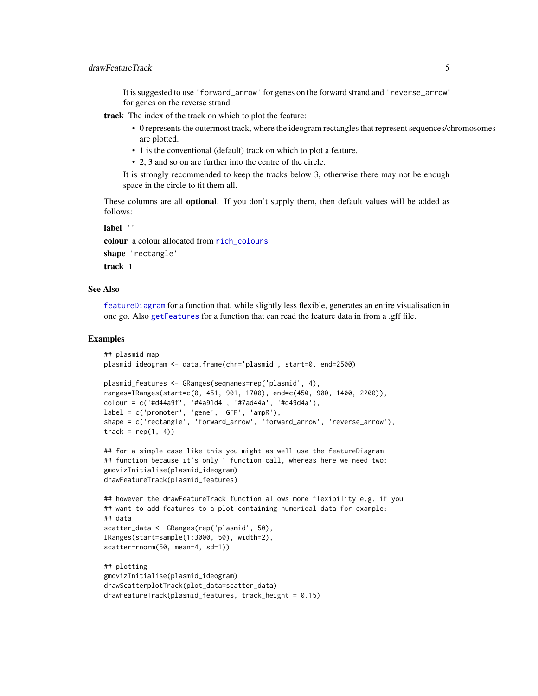<span id="page-4-0"></span>It is suggested to use 'forward\_arrow' for genes on the forward strand and 'reverse\_arrow' for genes on the reverse strand.

track The index of the track on which to plot the feature:

- 0 represents the outermost track, where the ideogram rectangles that represent sequences/chromosomes are plotted.
- 1 is the conventional (default) track on which to plot a feature.
- 2, 3 and so on are further into the centre of the circle.

It is strongly recommended to keep the tracks below 3, otherwise there may not be enough space in the circle to fit them all.

These columns are all **optional**. If you don't supply them, then default values will be added as follows:

label ''

colour a colour allocated from [rich\\_colours](#page-1-1) shape 'rectangle'

track 1

#### See Also

[featureDiagram](#page-8-1) for a function that, while slightly less flexible, generates an entire visualisation in one go. Also [getFeatures](#page-12-1) for a function that can read the feature data in from a .gff file.

#### Examples

```
## plasmid map
plasmid_ideogram <- data.frame(chr='plasmid', start=0, end=2500)
plasmid_features <- GRanges(seqnames=rep('plasmid', 4),
ranges=IRanges(start=c(0, 451, 901, 1700), end=c(450, 900, 1400, 2200)),
colour = c('#d44a9f', '#4a91d4', '#7ad44a', '#d49d4a'),
label = c('promoter', 'gene', 'GFP', 'ampR'),
shape = c('rectangle', 'forward_arrow', 'forward_arrow', 'reverse_arrow'),
track = rep(1, 4))## for a simple case like this you might as well use the featureDiagram
## function because it's only 1 function call, whereas here we need two:
gmovizInitialise(plasmid_ideogram)
drawFeatureTrack(plasmid_features)
## however the drawFeatureTrack function allows more flexibility e.g. if you
## want to add features to a plot containing numerical data for example:
## data
scatter_data <- GRanges(rep('plasmid', 50),
IRanges(start=sample(1:3000, 50), width=2),
scatter=rnorm(50, mean=4, sd=1))
## plotting
gmovizInitialise(plasmid_ideogram)
drawScatterplotTrack(plot_data=scatter_data)
```
drawFeatureTrack(plasmid\_features, track\_height = 0.15)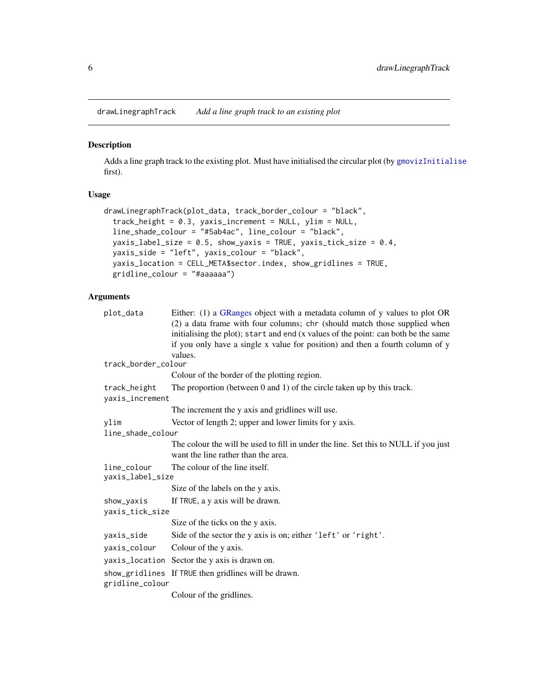<span id="page-5-1"></span><span id="page-5-0"></span>drawLinegraphTrack *Add a line graph track to an existing plot*

#### Description

Adds a line graph track to the existing plot. Must have initialised the circular plot (by [gmovizInitialise](#page-16-1) first).

#### Usage

```
drawLinegraphTrack(plot_data, track_border_colour = "black",
  track_height = 0.3, yaxis_increment = NULL, ylim = NULL,
 line_shade_colour = "#5ab4ac", line_colour = "black",
 yaxis_label_size = 0.5, show_yaxis = TRUE, yaxis_tick_size = 0.4,
 yaxis_side = "left", yaxis_colour = "black",
 yaxis_location = CELL_META$sector.index, show_gridlines = TRUE,
  gridline_colour = "#aaaaaa")
```
#### Arguments

| plot_data                       | Either: (1) a GRanges object with a metadata column of y values to plot OR<br>(2) a data frame with four columns; chr (should match those supplied when<br>initialising the plot); start and end (x values of the point: can both be the same<br>if you only have a single x value for position) and then a fourth column of y |
|---------------------------------|--------------------------------------------------------------------------------------------------------------------------------------------------------------------------------------------------------------------------------------------------------------------------------------------------------------------------------|
|                                 | values.                                                                                                                                                                                                                                                                                                                        |
| track_border_colour             |                                                                                                                                                                                                                                                                                                                                |
|                                 | Colour of the border of the plotting region.                                                                                                                                                                                                                                                                                   |
| track_height<br>yaxis_increment | The proportion (between $0$ and $1$ ) of the circle taken up by this track.                                                                                                                                                                                                                                                    |
|                                 | The increment the y axis and gridlines will use.                                                                                                                                                                                                                                                                               |
| ylim                            | Vector of length 2; upper and lower limits for y axis.                                                                                                                                                                                                                                                                         |
| line_shade_colour               |                                                                                                                                                                                                                                                                                                                                |
|                                 | The colour the will be used to fill in under the line. Set this to NULL if you just<br>want the line rather than the area.                                                                                                                                                                                                     |
| line_colour<br>yaxis_label_size | The colour of the line itself.                                                                                                                                                                                                                                                                                                 |
|                                 | Size of the labels on the y axis.                                                                                                                                                                                                                                                                                              |
| show_yaxis                      | If TRUE, a y axis will be drawn.                                                                                                                                                                                                                                                                                               |
| yaxis_tick_size                 |                                                                                                                                                                                                                                                                                                                                |
|                                 | Size of the ticks on the y axis.                                                                                                                                                                                                                                                                                               |
| yaxis_side                      | Side of the sector the y axis is on; either 'left' or 'right'.                                                                                                                                                                                                                                                                 |
| yaxis_colour                    | Colour of the y axis.                                                                                                                                                                                                                                                                                                          |
|                                 | yaxis_location Sector the y axis is drawn on.                                                                                                                                                                                                                                                                                  |
|                                 | show_gridlines If TRUE then gridlines will be drawn.                                                                                                                                                                                                                                                                           |
| gridline_colour                 |                                                                                                                                                                                                                                                                                                                                |
|                                 | Colour of the gridlines.                                                                                                                                                                                                                                                                                                       |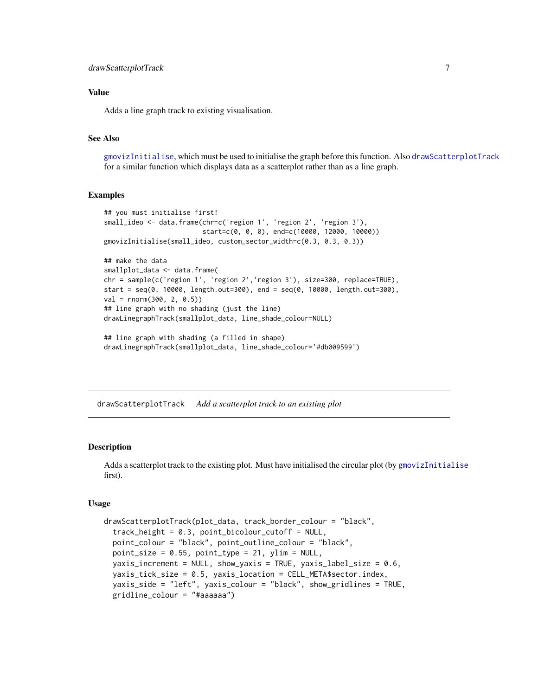#### <span id="page-6-0"></span>Value

Adds a line graph track to existing visualisation.

#### See Also

[gmovizInitialise](#page-16-1), which must be used to initialise the graph before this function. Also [drawScatterplotTrack](#page-6-1) for a similar function which displays data as a scatterplot rather than as a line graph.

#### Examples

```
## you must initialise first!
small_ideo <- data.frame(chr=c('region 1', 'region 2', 'region 3'),
                         start=c(0, 0, 0), end=c(10000, 12000, 10000))
gmovizInitialise(small_ideo, custom_sector_width=c(0.3, 0.3, 0.3))
## make the data
smallplot_data <- data.frame(
chr = sample(c('region 1', 'region 2','region 3'), size=300, replace=TRUE),
start = seq(0, 10000, length.out=300), end = seq(0, 10000, length.out=300),
val = rnorm(300, 2, 0.5))
## line graph with no shading (just the line)
drawLinegraphTrack(smallplot_data, line_shade_colour=NULL)
## line graph with shading (a filled in shape)
drawLinegraphTrack(smallplot_data, line_shade_colour='#db009599')
```
<span id="page-6-1"></span>drawScatterplotTrack *Add a scatterplot track to an existing plot*

#### Description

Adds a scatterplot track to the existing plot. Must have initialised the circular plot (by [gmovizInitialise](#page-16-1) first).

#### Usage

```
drawScatterplotTrack(plot_data, track_border_colour = "black",
  track_height = 0.3, point_bicolour_cutoff = NULL,
  point_colour = "black", point_outline_colour = "black",
 point\_size = 0.55, point\_type = 21, ylim = NULL,
 yaxis_increment = NULL, show_yaxis = TRUE, yaxis_label_size = 0.6,
 yaxis_tick_size = 0.5, yaxis_location = CELL_META$sector.index,
 yaxis_side = "left", yaxis_colour = "black", show_gridlines = TRUE,
  gridline_colour = "#aaaaaa")
```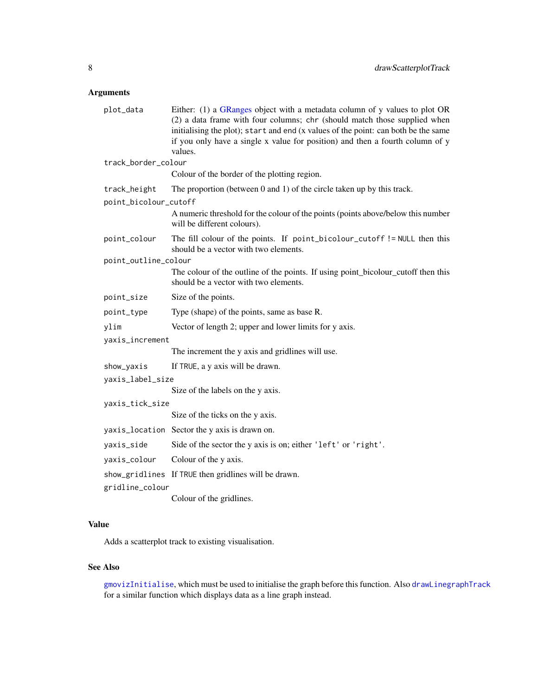#### <span id="page-7-0"></span>Arguments

| plot_data             | Either: (1) a GRanges object with a metadata column of y values to plot OR<br>(2) a data frame with four columns; chr (should match those supplied when<br>initialising the plot); start and end (x values of the point: can both be the same<br>if you only have a single x value for position) and then a fourth column of y<br>values. |  |
|-----------------------|-------------------------------------------------------------------------------------------------------------------------------------------------------------------------------------------------------------------------------------------------------------------------------------------------------------------------------------------|--|
| track_border_colour   |                                                                                                                                                                                                                                                                                                                                           |  |
|                       | Colour of the border of the plotting region.                                                                                                                                                                                                                                                                                              |  |
| track_height          | The proportion (between $0$ and $1$ ) of the circle taken up by this track.                                                                                                                                                                                                                                                               |  |
| point_bicolour_cutoff |                                                                                                                                                                                                                                                                                                                                           |  |
|                       | A numeric threshold for the colour of the points (points above/below this number<br>will be different colours).                                                                                                                                                                                                                           |  |
| point_colour          | The fill colour of the points. If point_bicolour_cutoff != NULL then this<br>should be a vector with two elements.                                                                                                                                                                                                                        |  |
| point_outline_colour  |                                                                                                                                                                                                                                                                                                                                           |  |
|                       | The colour of the outline of the points. If using point_bicolour_cutoff then this<br>should be a vector with two elements.                                                                                                                                                                                                                |  |
| point_size            | Size of the points.                                                                                                                                                                                                                                                                                                                       |  |
| point_type            | Type (shape) of the points, same as base R.                                                                                                                                                                                                                                                                                               |  |
| ylim                  | Vector of length 2; upper and lower limits for y axis.                                                                                                                                                                                                                                                                                    |  |
| yaxis_increment       |                                                                                                                                                                                                                                                                                                                                           |  |
|                       | The increment the y axis and gridlines will use.                                                                                                                                                                                                                                                                                          |  |
| show_yaxis            | If TRUE, a y axis will be drawn.                                                                                                                                                                                                                                                                                                          |  |
| yaxis_label_size      |                                                                                                                                                                                                                                                                                                                                           |  |
|                       | Size of the labels on the y axis.                                                                                                                                                                                                                                                                                                         |  |
| yaxis_tick_size       |                                                                                                                                                                                                                                                                                                                                           |  |
|                       | Size of the ticks on the y axis.                                                                                                                                                                                                                                                                                                          |  |
|                       | yaxis_location Sector the y axis is drawn on.                                                                                                                                                                                                                                                                                             |  |
| yaxis_side            | Side of the sector the y axis is on; either 'left' or 'right'.                                                                                                                                                                                                                                                                            |  |
| yaxis_colour          | Colour of the y axis.                                                                                                                                                                                                                                                                                                                     |  |
|                       | show_gridlines If TRUE then gridlines will be drawn.                                                                                                                                                                                                                                                                                      |  |
| gridline_colour       |                                                                                                                                                                                                                                                                                                                                           |  |
|                       | Colour of the gridlines.                                                                                                                                                                                                                                                                                                                  |  |

#### Value

Adds a scatterplot track to existing visualisation.

#### See Also

[gmovizInitialise](#page-16-1), which must be used to initialise the graph before this function. Also [drawLinegraphTrack](#page-5-1) for a similar function which displays data as a line graph instead.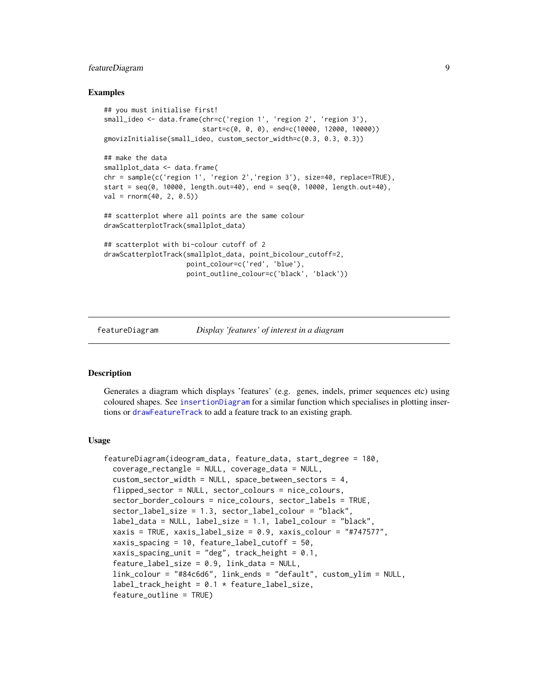#### <span id="page-8-0"></span>featureDiagram 9

#### Examples

```
## you must initialise first!
small_ideo <- data.frame(chr=c('region 1', 'region 2', 'region 3'),
                         start=c(0, 0, 0), end=c(10000, 12000, 10000))
gmovizInitialise(small_ideo, custom_sector_width=c(0.3, 0.3, 0.3))
## make the data
smallplot_data <- data.frame(
chr = sample(c('region 1', 'region 2','region 3'), size=40, replace=TRUE),
start = seq(0, 10000, length.out=40), end = seq(0, 10000, length.out=40),
val = rnorm(40, 2, 0.5)## scatterplot where all points are the same colour
drawScatterplotTrack(smallplot_data)
## scatterplot with bi-colour cutoff of 2
drawScatterplotTrack(smallplot_data, point_bicolour_cutoff=2,
                     point_colour=c('red', 'blue'),
                     point_outline_colour=c('black', 'black'))
```
<span id="page-8-1"></span>

```
featureDiagram Display 'features' of interest in a diagram
```
#### Description

Generates a diagram which displays 'features' (e.g. genes, indels, primer sequences etc) using coloured shapes. See [insertionDiagram](#page-20-1) for a similar function which specialises in plotting insertions or [drawFeatureTrack](#page-2-1) to add a feature track to an existing graph.

#### Usage

```
featureDiagram(ideogram_data, feature_data, start_degree = 180,
  coverage_rectangle = NULL, coverage_data = NULL,
  custom\_sector\_width = NULL, space_between_sectors = 4,
  flipped_sector = NULL, sector_colours = nice_colours,
  sector_border_colours = nice_colours, sector_labels = TRUE,
  sector_label_size = 1.3, sector_label_colour = "black",
  label_data = NULL, label_size = 1.1, label_colour = "black",
  xaxis = TRUE, xaxis_label_size = 0.9, xaxis_colour = "#747577",
  xaxis_spacing = 10, feature_label_cutoff = 50,
  xaxis_spacing_unit = "deg", track_height = 0.1,
  feature\_label\_size = 0.9, link\_data = NULL,link_colour = "#84c6d6", link_ends = "default", custom_ylim = NULL,
  label\_track\_height = 0.1 * feature\_label\_size,feature_outline = TRUE)
```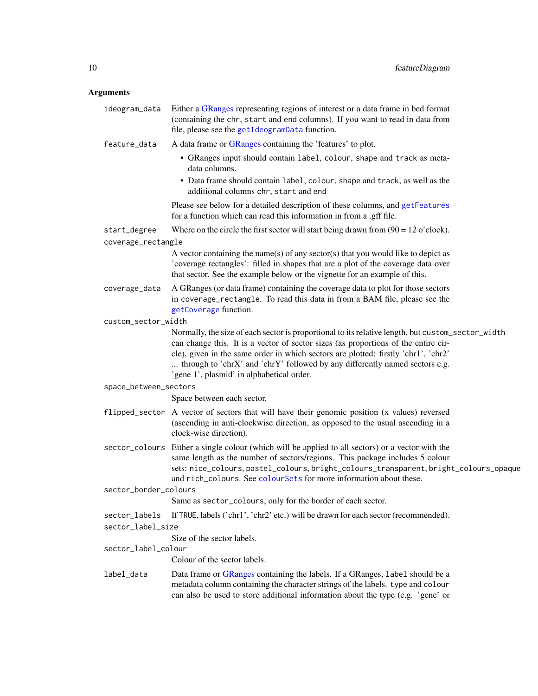#### <span id="page-9-0"></span>Arguments

| ideogram_data         | Either a GRanges representing regions of interest or a data frame in bed format<br>(containing the chr, start and end columns). If you want to read in data from<br>file, please see the getIdeogramData function.                                                                                                                                                                                        |
|-----------------------|-----------------------------------------------------------------------------------------------------------------------------------------------------------------------------------------------------------------------------------------------------------------------------------------------------------------------------------------------------------------------------------------------------------|
| feature_data          | A data frame or GRanges containing the 'features' to plot.                                                                                                                                                                                                                                                                                                                                                |
|                       | • GRanges input should contain label, colour, shape and track as meta-<br>data columns.                                                                                                                                                                                                                                                                                                                   |
|                       | • Data frame should contain label, colour, shape and track, as well as the<br>additional columns chr, start and end                                                                                                                                                                                                                                                                                       |
|                       | Please see below for a detailed description of these columns, and getFeatures<br>for a function which can read this information in from a .gff file.                                                                                                                                                                                                                                                      |
| start_degree          | Where on the circle the first sector will start being drawn from $(90 = 12 \text{ o'clock})$ .                                                                                                                                                                                                                                                                                                            |
| coverage_rectangle    |                                                                                                                                                                                                                                                                                                                                                                                                           |
|                       | A vector containing the name(s) of any sector(s) that you would like to depict as<br>'coverage rectangles': filled in shapes that are a plot of the coverage data over<br>that sector. See the example below or the vignette for an example of this.                                                                                                                                                      |
| coverage_data         | A GRanges (or data frame) containing the coverage data to plot for those sectors<br>in coverage_rectangle. To read this data in from a BAM file, please see the<br>getCoverage function.                                                                                                                                                                                                                  |
| custom_sector_width   |                                                                                                                                                                                                                                                                                                                                                                                                           |
|                       | Normally, the size of each sector is proportional to its relative length, but custom_sector_width<br>can change this. It is a vector of sector sizes (as proportions of the entire cir-<br>cle), given in the same order in which sectors are plotted: firstly 'chr1', 'chr2'<br>through to 'chrX' and 'chrY' followed by any differently named sectors e.g.<br>'gene 1', plasmid' in alphabetical order. |
| space_between_sectors |                                                                                                                                                                                                                                                                                                                                                                                                           |
|                       | Space between each sector.                                                                                                                                                                                                                                                                                                                                                                                |
|                       | flipped_sector A vector of sectors that will have their genomic position (x values) reversed<br>(ascending in anti-clockwise direction, as opposed to the usual ascending in a<br>clock-wise direction).                                                                                                                                                                                                  |
|                       | sector_colours Either a single colour (which will be applied to all sectors) or a vector with the<br>same length as the number of sectors/regions. This package includes 5 colour<br>sets: nice_colours, pastel_colours, bright_colours_transparent, bright_colours_opaque<br>and rich_colours. See colourSets for more information about these.                                                          |
| sector_border_colours |                                                                                                                                                                                                                                                                                                                                                                                                           |
|                       | Same as sector_colours, only for the border of each sector.                                                                                                                                                                                                                                                                                                                                               |
| sector_labels         | If TRUE, labels ('chr1', 'chr2' etc.) will be drawn for each sector (recommended).                                                                                                                                                                                                                                                                                                                        |
| sector_label_size     |                                                                                                                                                                                                                                                                                                                                                                                                           |
|                       | Size of the sector labels.                                                                                                                                                                                                                                                                                                                                                                                |
| sector_label_colour   |                                                                                                                                                                                                                                                                                                                                                                                                           |
|                       | Colour of the sector labels.                                                                                                                                                                                                                                                                                                                                                                              |
| label_data            | Data frame or GRanges containing the labels. If a GRanges, label should be a<br>metadata column containing the character strings of the labels. type and colour<br>can also be used to store additional information about the type (e.g. 'gene' or                                                                                                                                                        |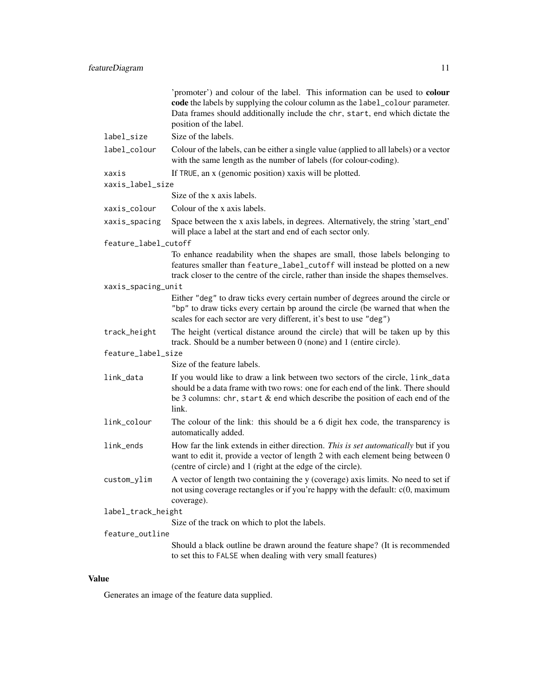|                      | 'promoter') and colour of the label. This information can be used to colour<br>code the labels by supplying the colour column as the label_colour parameter.<br>Data frames should additionally include the chr, start, end which dictate the<br>position of the label. |
|----------------------|-------------------------------------------------------------------------------------------------------------------------------------------------------------------------------------------------------------------------------------------------------------------------|
| label_size           | Size of the labels.                                                                                                                                                                                                                                                     |
| label_colour         | Colour of the labels, can be either a single value (applied to all labels) or a vector<br>with the same length as the number of labels (for colour-coding).                                                                                                             |
| xaxis                | If TRUE, an x (genomic position) xaxis will be plotted.                                                                                                                                                                                                                 |
| xaxis_label_size     |                                                                                                                                                                                                                                                                         |
|                      | Size of the x axis labels.                                                                                                                                                                                                                                              |
| xaxis_colour         | Colour of the x axis labels.                                                                                                                                                                                                                                            |
| xaxis_spacing        | Space between the x axis labels, in degrees. Alternatively, the string 'start_end'<br>will place a label at the start and end of each sector only.                                                                                                                      |
| feature_label_cutoff |                                                                                                                                                                                                                                                                         |
|                      | To enhance readability when the shapes are small, those labels belonging to<br>features smaller than feature_label_cutoff will instead be plotted on a new<br>track closer to the centre of the circle, rather than inside the shapes themselves.                       |
| xaxis_spacing_unit   |                                                                                                                                                                                                                                                                         |
|                      | Either "deg" to draw ticks every certain number of degrees around the circle or<br>"bp" to draw ticks every certain bp around the circle (be warned that when the<br>scales for each sector are very different, it's best to use "deg")                                 |
| track_height         | The height (vertical distance around the circle) that will be taken up by this<br>track. Should be a number between 0 (none) and 1 (entire circle).                                                                                                                     |
| feature_label_size   |                                                                                                                                                                                                                                                                         |
|                      | Size of the feature labels.                                                                                                                                                                                                                                             |
| link_data            | If you would like to draw a link between two sectors of the circle, link_data<br>should be a data frame with two rows: one for each end of the link. There should<br>be 3 columns: chr, start $\&$ end which describe the position of each end of the<br>link.          |
| link_colour          | The colour of the link: this should be a 6 digit hex code, the transparency is<br>automatically added.                                                                                                                                                                  |
| link_ends            | How far the link extends in either direction. This is set automatically but if you<br>want to edit it, provide a vector of length 2 with each element being between 0<br>(centre of circle) and 1 (right at the edge of the circle).                                    |
| custom_ylim          | A vector of length two containing the y (coverage) axis limits. No need to set if<br>not using coverage rectangles or if you're happy with the default: $c(0, \text{maximum})$<br>coverage).                                                                            |
| label_track_height   |                                                                                                                                                                                                                                                                         |
|                      | Size of the track on which to plot the labels.                                                                                                                                                                                                                          |
| feature_outline      |                                                                                                                                                                                                                                                                         |
|                      | Should a black outline be drawn around the feature shape? (It is recommended<br>to set this to FALSE when dealing with very small features)                                                                                                                             |

#### Value

Generates an image of the feature data supplied.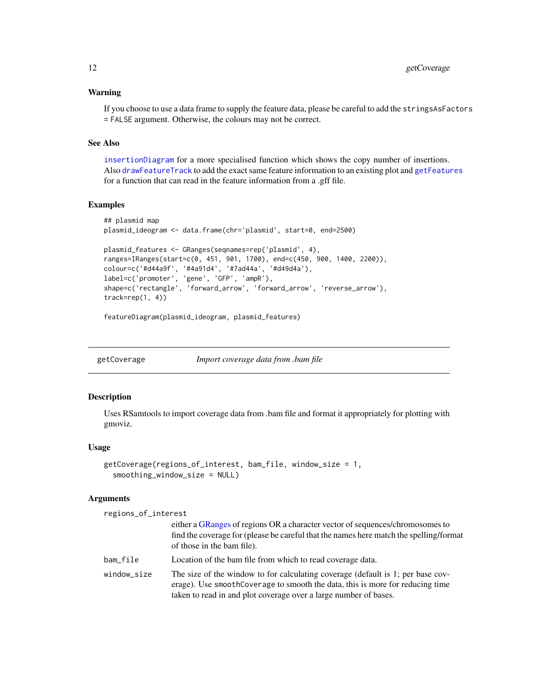#### <span id="page-11-0"></span>Warning

If you choose to use a data frame to supply the feature data, please be careful to add the stringsAsFactors = FALSE argument. Otherwise, the colours may not be correct.

#### See Also

[insertionDiagram](#page-20-1) for a more specialised function which shows the copy number of insertions. Also [drawFeatureTrack](#page-2-1) to add the exact same feature information to an existing plot and [getFeatures](#page-12-1) for a function that can read in the feature information from a .gff file.

#### Examples

```
## plasmid map
plasmid_ideogram <- data.frame(chr='plasmid', start=0, end=2500)
plasmid_features <- GRanges(seqnames=rep('plasmid', 4),
ranges=IRanges(start=c(0, 451, 901, 1700), end=c(450, 900, 1400, 2200)),
colour=c('#d44a9f', '#4a91d4', '#7ad44a', '#d49d4a'),
label=c('promoter', 'gene', 'GFP', 'ampR'),
shape=c('rectangle', 'forward_arrow', 'forward_arrow', 'reverse_arrow'),
track=rep(1, 4))
```
featureDiagram(plasmid\_ideogram, plasmid\_features)

<span id="page-11-1"></span>getCoverage *Import coverage data from .bam file*

#### Description

Uses RSamtools to import coverage data from .bam file and format it appropriately for plotting with gmoviz.

#### Usage

```
getCoverage(regions_of_interest, bam_file, window_size = 1,
  smoothing_window_size = NULL)
```
#### Arguments

regions\_of\_interest

|             | either a GRanges of regions OR a character vector of sequences/chromosomes to<br>find the coverage for (please be careful that the names here match the spelling/format<br>of those in the bam file).                                |
|-------------|--------------------------------------------------------------------------------------------------------------------------------------------------------------------------------------------------------------------------------------|
| bam_file    | Location of the bam file from which to read coverage data.                                                                                                                                                                           |
| window_size | The size of the window to for calculating coverage (default is 1; per base cov-<br>erage). Use smoothCoverage to smooth the data, this is more for reducing time<br>taken to read in and plot coverage over a large number of bases. |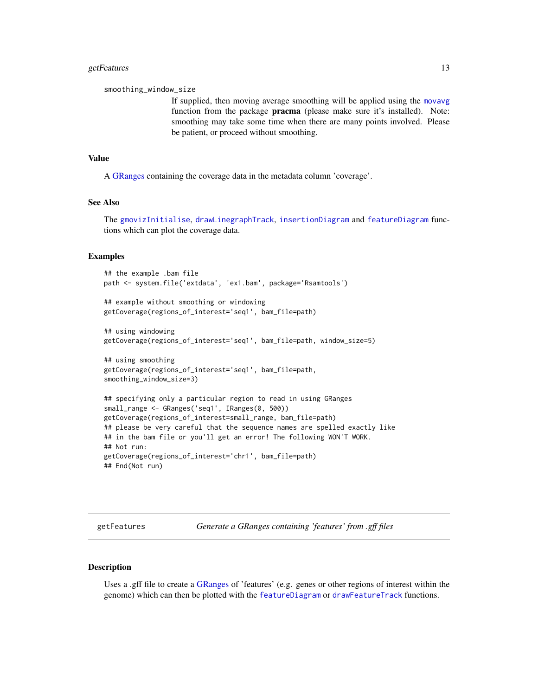#### <span id="page-12-0"></span>getFeatures 13

smoothing\_window\_size

If supplied, then moving average smoothing will be applied using the [movavg](#page-0-0) function from the package pracma (please make sure it's installed). Note: smoothing may take some time when there are many points involved. Please be patient, or proceed without smoothing.

#### Value

A [GRanges](#page-0-0) containing the coverage data in the metadata column 'coverage'.

#### See Also

The [gmovizInitialise](#page-16-1), [drawLinegraphTrack](#page-5-1), [insertionDiagram](#page-20-1) and [featureDiagram](#page-8-1) functions which can plot the coverage data.

#### Examples

## the example .bam file path <- system.file('extdata', 'ex1.bam', package='Rsamtools')

## example without smoothing or windowing getCoverage(regions\_of\_interest='seq1', bam\_file=path)

## using windowing getCoverage(regions\_of\_interest='seq1', bam\_file=path, window\_size=5)

## using smoothing getCoverage(regions\_of\_interest='seq1', bam\_file=path, smoothing\_window\_size=3)

```
## specifying only a particular region to read in using GRanges
small_range <- GRanges('seq1', IRanges(0, 500))
getCoverage(regions_of_interest=small_range, bam_file=path)
## please be very careful that the sequence names are spelled exactly like
## in the bam file or you'll get an error! The following WON'T WORK.
## Not run:
getCoverage(regions_of_interest='chr1', bam_file=path)
## End(Not run)
```
<span id="page-12-1"></span>getFeatures *Generate a GRanges containing 'features' from .gff files*

#### Description

Uses a .gff file to create a [GRanges](#page-0-0) of 'features' (e.g. genes or other regions of interest within the genome) which can then be plotted with the [featureDiagram](#page-8-1) or [drawFeatureTrack](#page-2-1) functions.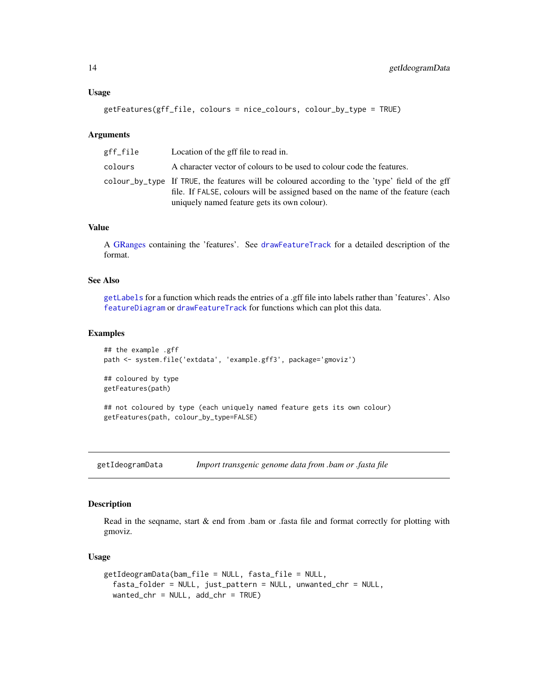```
getFeatures(gff_file, colours = nice_colours, colour_by_type = TRUE)
```
#### Arguments

| gff_file | Location of the gff file to read in.                                                                                                                                                                                              |
|----------|-----------------------------------------------------------------------------------------------------------------------------------------------------------------------------------------------------------------------------------|
| colours  | A character vector of colours to be used to colour code the features.                                                                                                                                                             |
|          | colour_by_type If TRUE, the features will be coloured according to the 'type' field of the gff<br>file. If FALSE, colours will be assigned based on the name of the feature (each<br>uniquely named feature gets its own colour). |

#### Value

A [GRanges](#page-0-0) containing the 'features'. See [drawFeatureTrack](#page-2-1) for a detailed description of the format.

#### See Also

[getLabels](#page-15-1) for a function which reads the entries of a .gff file into labels rather than 'features'. Also [featureDiagram](#page-8-1) or [drawFeatureTrack](#page-2-1) for functions which can plot this data.

#### Examples

```
## the example .gff
path <- system.file('extdata', 'example.gff3', package='gmoviz')
```
## coloured by type getFeatures(path)

## not coloured by type (each uniquely named feature gets its own colour) getFeatures(path, colour\_by\_type=FALSE)

<span id="page-13-1"></span>getIdeogramData *Import transgenic genome data from .bam or .fasta file*

#### Description

Read in the seqname, start & end from .bam or .fasta file and format correctly for plotting with gmoviz.

#### Usage

```
getIdeogramData(bam_file = NULL, fasta_file = NULL,
  fasta_folder = NULL, just_pattern = NULL, unwanted_chr = NULL,
 wanted_chr = NULL, add_chr = TRUE)
```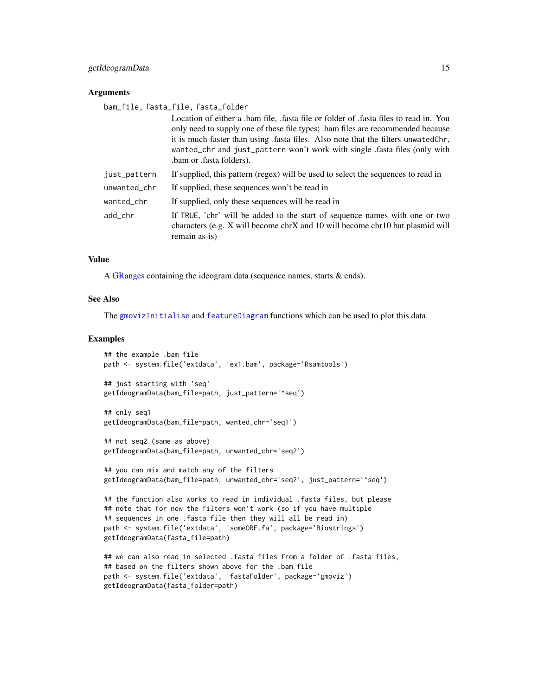#### <span id="page-14-0"></span>getIdeogramData 15

#### **Arguments**

bam\_file, fasta\_file, fasta\_folder

|              | Location of either a bam file, fasta file or folder of fasta files to read in. You<br>only need to supply one of these file types; .bam files are recommended because<br>it is much faster than using fasta files. Also note that the filters unwated Chr,<br>wanted_chr and just_pattern won't work with single .fasta files (only with<br>bam or fasta folders). |
|--------------|--------------------------------------------------------------------------------------------------------------------------------------------------------------------------------------------------------------------------------------------------------------------------------------------------------------------------------------------------------------------|
| just_pattern | If supplied, this pattern (regex) will be used to select the sequences to read in                                                                                                                                                                                                                                                                                  |
| unwanted_chr | If supplied, these sequences won't be read in                                                                                                                                                                                                                                                                                                                      |
| wanted_chr   | If supplied, only these sequences will be read in                                                                                                                                                                                                                                                                                                                  |
| add chr      | If TRUE, 'chr' will be added to the start of sequence names with one or two<br>characters (e.g. X will become chrX and 10 will become chr10 but plasmid will<br>remain as-is)                                                                                                                                                                                      |

#### Value

A [GRanges](#page-0-0) containing the ideogram data (sequence names, starts & ends).

#### See Also

The [gmovizInitialise](#page-16-1) and [featureDiagram](#page-8-1) functions which can be used to plot this data.

#### Examples

```
## the example .bam file
path <- system.file('extdata', 'ex1.bam', package='Rsamtools')
```

```
## just starting with 'seq'
getIdeogramData(bam_file=path, just_pattern='^seq')
```

```
## only seq1
getIdeogramData(bam_file=path, wanted_chr='seq1')
```

```
## not seq2 (same as above)
getIdeogramData(bam_file=path, unwanted_chr='seq2')
```

```
## you can mix and match any of the filters
getIdeogramData(bam_file=path, unwanted_chr='seq2', just_pattern='^seq')
```

```
## the function also works to read in individual .fasta files, but please
## note that for now the filters won't work (so if you have multiple
## sequences in one .fasta file then they will all be read in)
path <- system.file('extdata', 'someORF.fa', package='Biostrings')
getIdeogramData(fasta_file=path)
```

```
## we can also read in selected .fasta files from a folder of .fasta files,
## based on the filters shown above for the .bam file
path <- system.file('extdata', 'fastaFolder', package='gmoviz')
getIdeogramData(fasta_folder=path)
```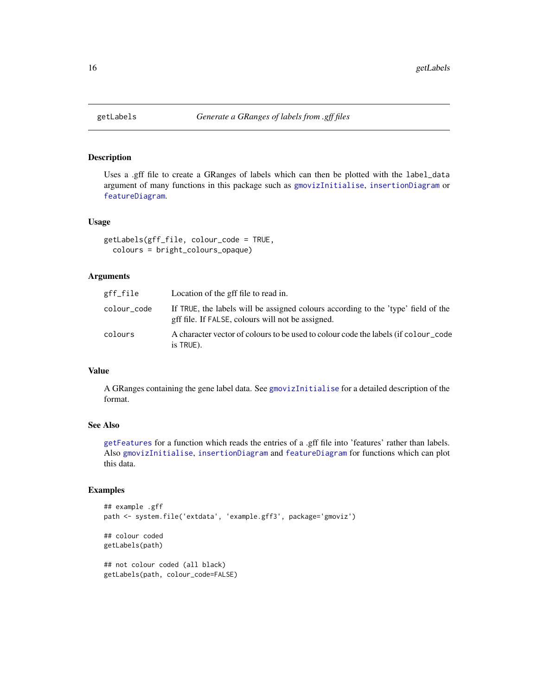<span id="page-15-1"></span><span id="page-15-0"></span>

#### Description

Uses a .gff file to create a GRanges of labels which can then be plotted with the label\_data argument of many functions in this package such as [gmovizInitialise](#page-16-1), [insertionDiagram](#page-20-1) or [featureDiagram](#page-8-1).

#### Usage

```
getLabels(gff_file, colour_code = TRUE,
  colours = bright_colours_opaque)
```
#### Arguments

| gff_file    | Location of the gff file to read in.                                                                                                   |
|-------------|----------------------------------------------------------------------------------------------------------------------------------------|
| colour_code | If TRUE, the labels will be assigned colours according to the 'type' field of the<br>gff file. If FALSE, colours will not be assigned. |
| colours     | A character vector of colours to be used to colour code the labels (if colour _code<br>is TRUE).                                       |

#### Value

A GRanges containing the gene label data. See [gmovizInitialise](#page-16-1) for a detailed description of the format.

#### See Also

[getFeatures](#page-12-1) for a function which reads the entries of a .gff file into 'features' rather than labels. Also [gmovizInitialise](#page-16-1), [insertionDiagram](#page-20-1) and [featureDiagram](#page-8-1) for functions which can plot this data.

#### Examples

```
## example .gff
path <- system.file('extdata', 'example.gff3', package='gmoviz')
## colour coded
getLabels(path)
## not colour coded (all black)
getLabels(path, colour_code=FALSE)
```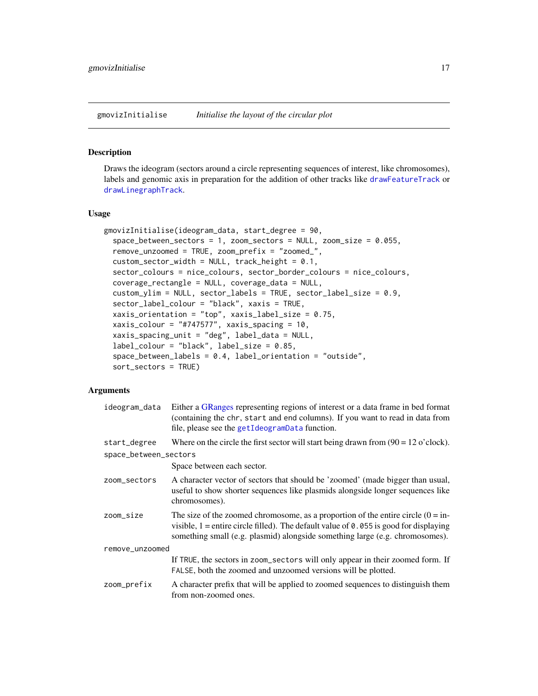<span id="page-16-1"></span><span id="page-16-0"></span>gmovizInitialise *Initialise the layout of the circular plot*

#### Description

Draws the ideogram (sectors around a circle representing sequences of interest, like chromosomes), labels and genomic axis in preparation for the addition of other tracks like [drawFeatureTrack](#page-2-1) or [drawLinegraphTrack](#page-5-1).

#### Usage

```
gmovizInitialise(ideogram_data, start_degree = 90,
  space_between_sectors = 1, zoom_sectors = NULL, zoom_size = 0.055,
  remove_unzoomed = TRUE, zoom_prefix = "zoomed_",
 custom\_sector\_width = NULL, track\_height = 0.1,sector_colours = nice_colours, sector_border_colours = nice_colours,
  coverage_rectangle = NULL, coverage_data = NULL,
  custom_ylim = NULL, sector_labels = TRUE, sector_label_size = 0.9,
  sector_label_colour = "black", xaxis = TRUE,
  xaxis_orientation = "top", xaxis_label_size = 0.75,
  xaxis_colour = "#747577", xaxis_spacing = 10,
  xaxis_spacing_unit = "deg", label_data = NULL,
  label_colour = "black", label_size = 0.85,
  space_between_labels = 0.4, label_orientation = "outside",
  sort_sectors = TRUE)
```
#### Arguments

| ideogram_data         | Either a GRanges representing regions of interest or a data frame in bed format<br>(containing the chr, start and end columns). If you want to read in data from<br>file, please see the getIdeogramData function.                                            |
|-----------------------|---------------------------------------------------------------------------------------------------------------------------------------------------------------------------------------------------------------------------------------------------------------|
| start_degree          | Where on the circle the first sector will start being drawn from $(90 = 12 \text{ o}'$ clock).                                                                                                                                                                |
| space_between_sectors |                                                                                                                                                                                                                                                               |
|                       | Space between each sector.                                                                                                                                                                                                                                    |
| zoom_sectors          | A character vector of sectors that should be 'zoomed' (made bigger than usual,<br>useful to show shorter sequences like plasmids alongside longer sequences like<br>chromosomes).                                                                             |
| zoom_size             | The size of the zoomed chromosome, as a proportion of the entire circle $(0 = in-$<br>visible, $1$ = entire circle filled). The default value of 0.055 is good for displaying<br>something small (e.g. plasmid) alongside something large (e.g. chromosomes). |
| remove_unzoomed       |                                                                                                                                                                                                                                                               |
|                       | If TRUE, the sectors in zoom_sectors will only appear in their zoomed form. If<br>FALSE, both the zoomed and unzoomed versions will be plotted.                                                                                                               |
| zoom_prefix           | A character prefix that will be applied to zoomed sequences to distinguish them<br>from non-zoomed ones.                                                                                                                                                      |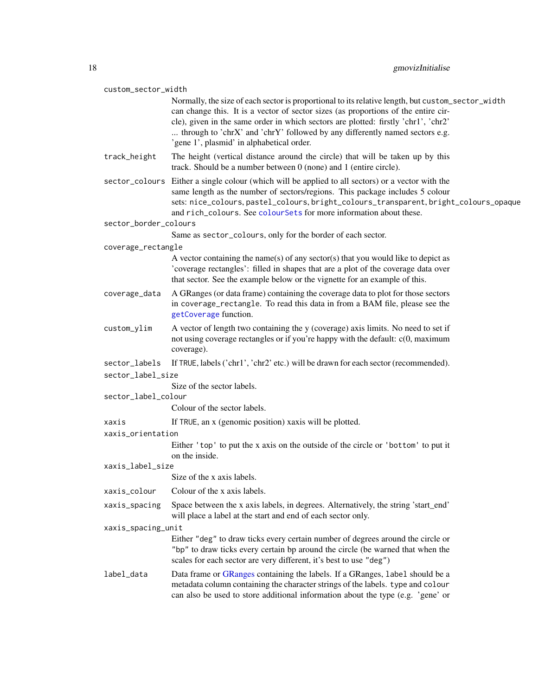<span id="page-17-0"></span>

| custom_sector_width        |                                                                                                                                                                                                                                                                                                                                                                                                           |
|----------------------------|-----------------------------------------------------------------------------------------------------------------------------------------------------------------------------------------------------------------------------------------------------------------------------------------------------------------------------------------------------------------------------------------------------------|
|                            | Normally, the size of each sector is proportional to its relative length, but custom_sector_width<br>can change this. It is a vector of sector sizes (as proportions of the entire cir-<br>cle), given in the same order in which sectors are plotted: firstly 'chr1', 'chr2'<br>through to 'chrX' and 'chrY' followed by any differently named sectors e.g.<br>'gene 1', plasmid' in alphabetical order. |
| track_height               | The height (vertical distance around the circle) that will be taken up by this<br>track. Should be a number between 0 (none) and 1 (entire circle).                                                                                                                                                                                                                                                       |
|                            | sector_colours Either a single colour (which will be applied to all sectors) or a vector with the<br>same length as the number of sectors/regions. This package includes 5 colour<br>sets: nice_colours, pastel_colours, bright_colours_transparent, bright_colours_opaque<br>and rich_colours. See colourSets for more information about these.                                                          |
| sector_border_colours      |                                                                                                                                                                                                                                                                                                                                                                                                           |
|                            | Same as sector_colours, only for the border of each sector.                                                                                                                                                                                                                                                                                                                                               |
| coverage_rectangle         |                                                                                                                                                                                                                                                                                                                                                                                                           |
|                            | A vector containing the name(s) of any sector(s) that you would like to depict as<br>'coverage rectangles': filled in shapes that are a plot of the coverage data over<br>that sector. See the example below or the vignette for an example of this.                                                                                                                                                      |
| coverage_data              | A GRanges (or data frame) containing the coverage data to plot for those sectors<br>in coverage_rectangle. To read this data in from a BAM file, please see the<br>getCoverage function.                                                                                                                                                                                                                  |
| custom_ylim                | A vector of length two containing the y (coverage) axis limits. No need to set if<br>not using coverage rectangles or if you're happy with the default: c(0, maximum<br>coverage).                                                                                                                                                                                                                        |
| sector_labels              | If TRUE, labels ('chr1', 'chr2' etc.) will be drawn for each sector (recommended).                                                                                                                                                                                                                                                                                                                        |
| sector_label_size          |                                                                                                                                                                                                                                                                                                                                                                                                           |
|                            | Size of the sector labels.                                                                                                                                                                                                                                                                                                                                                                                |
| sector_label_colour        | Colour of the sector labels.                                                                                                                                                                                                                                                                                                                                                                              |
|                            |                                                                                                                                                                                                                                                                                                                                                                                                           |
| xaxis<br>xaxis_orientation | If TRUE, an x (genomic position) xaxis will be plotted.                                                                                                                                                                                                                                                                                                                                                   |
|                            | Either 'top' to put the x axis on the outside of the circle or 'bottom' to put it<br>on the inside.                                                                                                                                                                                                                                                                                                       |
| xaxis_label_size           |                                                                                                                                                                                                                                                                                                                                                                                                           |
|                            | Size of the x axis labels.                                                                                                                                                                                                                                                                                                                                                                                |
| xaxis_colour               | Colour of the x axis labels.                                                                                                                                                                                                                                                                                                                                                                              |
| xaxis_spacing              | Space between the x axis labels, in degrees. Alternatively, the string 'start_end'<br>will place a label at the start and end of each sector only.                                                                                                                                                                                                                                                        |
| xaxis_spacing_unit         |                                                                                                                                                                                                                                                                                                                                                                                                           |
|                            | Either "deg" to draw ticks every certain number of degrees around the circle or<br>"bp" to draw ticks every certain bp around the circle (be warned that when the<br>scales for each sector are very different, it's best to use "deg")                                                                                                                                                                   |
| label_data                 | Data frame or GRanges containing the labels. If a GRanges, label should be a<br>metadata column containing the character strings of the labels. type and colour<br>can also be used to store additional information about the type (e.g. 'gene' or                                                                                                                                                        |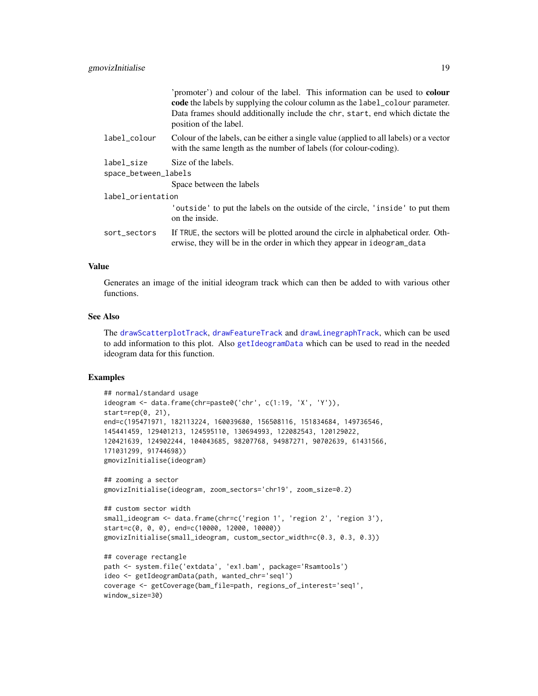<span id="page-18-0"></span>

|                      | 'promoter') and colour of the label. This information can be used to <b>colour</b><br>code the labels by supplying the colour column as the label_colour parameter.<br>Data frames should additionally include the chr, start, end which dictate the<br>position of the label. |  |
|----------------------|--------------------------------------------------------------------------------------------------------------------------------------------------------------------------------------------------------------------------------------------------------------------------------|--|
| label_colour         | Colour of the labels, can be either a single value (applied to all labels) or a vector<br>with the same length as the number of labels (for colour-coding).                                                                                                                    |  |
| label_size           | Size of the labels.                                                                                                                                                                                                                                                            |  |
| space_between_labels |                                                                                                                                                                                                                                                                                |  |
|                      | Space between the labels                                                                                                                                                                                                                                                       |  |
| label_orientation    |                                                                                                                                                                                                                                                                                |  |
|                      | 'outside' to put the labels on the outside of the circle, 'inside' to put them<br>on the inside.                                                                                                                                                                               |  |
| sort_sectors         | If TRUE, the sectors will be plotted around the circle in alphabetical order. Oth-<br>erwise, they will be in the order in which they appear in ideogram_data                                                                                                                  |  |
|                      |                                                                                                                                                                                                                                                                                |  |

#### Value

Generates an image of the initial ideogram track which can then be added to with various other functions.

#### See Also

The [drawScatterplotTrack](#page-6-1), [drawFeatureTrack](#page-2-1) and [drawLinegraphTrack](#page-5-1), which can be used to add information to this plot. Also [getIdeogramData](#page-13-1) which can be used to read in the needed ideogram data for this function.

#### Examples

```
## normal/standard usage
ideogram <- data.frame(chr=paste0('chr', c(1:19, 'X', 'Y')),
start=rep(0, 21),
end=c(195471971, 182113224, 160039680, 156508116, 151834684, 149736546,
145441459, 129401213, 124595110, 130694993, 122082543, 120129022,
120421639, 124902244, 104043685, 98207768, 94987271, 90702639, 61431566,
171031299, 91744698))
gmovizInitialise(ideogram)
## zooming a sector
gmovizInitialise(ideogram, zoom_sectors='chr19', zoom_size=0.2)
## custom sector width
small_ideogram <- data.frame(chr=c('region 1', 'region 2', 'region 3'),
start=c(0, 0, 0), end=c(10000, 12000, 10000))
gmovizInitialise(small_ideogram, custom_sector_width=c(0.3, 0.3, 0.3))
## coverage rectangle
path <- system.file('extdata', 'ex1.bam', package='Rsamtools')
ideo <- getIdeogramData(path, wanted_chr='seq1')
coverage <- getCoverage(bam_file=path, regions_of_interest='seq1',
window_size=30)
```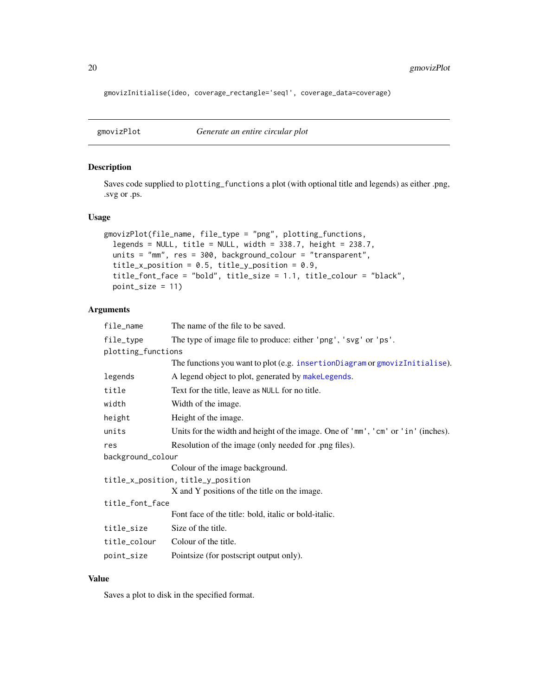<span id="page-19-0"></span>gmovizInitialise(ideo, coverage\_rectangle='seq1', coverage\_data=coverage)

<span id="page-19-1"></span>

#### Description

Saves code supplied to plotting\_functions a plot (with optional title and legends) as either .png, .svg or .ps.

#### Usage

```
gmovizPlot(file_name, file_type = "png", plotting_functions,
  legends = NULL, title = NULL, width = 338.7, height = 238.7,
 units = "mm", res = 300, background_colour = "transparent",
  title_x_position = 0.5, title_y_position = 0.9,
  title_font_face = "bold", title_size = 1.1, title_colour = "black",
 point_size = 11)
```
#### Arguments

| file_name          | The name of the file to be saved.                                                |
|--------------------|----------------------------------------------------------------------------------|
| file_type          | The type of image file to produce: either 'png', 'svg' or 'ps'.                  |
| plotting_functions |                                                                                  |
|                    | The functions you want to plot (e.g. insertionDiagram or gmovizInitialise).      |
| legends            | A legend object to plot, generated by makeLegends.                               |
| title              | Text for the title, leave as NULL for no title.                                  |
| width              | Width of the image.                                                              |
| height             | Height of the image.                                                             |
| units              | Units for the width and height of the image. One of 'mm', 'cm' or 'in' (inches). |
| res                | Resolution of the image (only needed for .png files).                            |
| background_colour  |                                                                                  |
|                    | Colour of the image background.                                                  |
|                    | title_x_position, title_y_position                                               |
|                    | X and Y positions of the title on the image.                                     |
| title_font_face    |                                                                                  |
|                    | Font face of the title: bold, italic or bold-italic.                             |
| title_size         | Size of the title.                                                               |
| title_colour       | Colour of the title.                                                             |
| point_size         | Pointsize (for postscript output only).                                          |

#### Value

Saves a plot to disk in the specified format.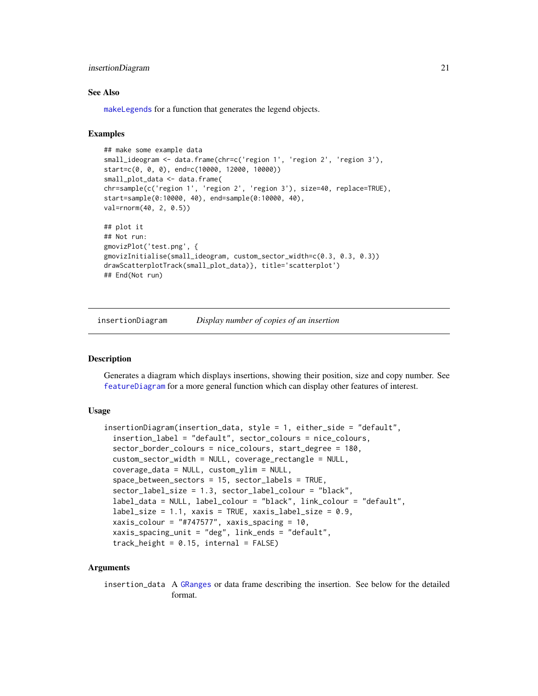#### <span id="page-20-0"></span>insertionDiagram 21

#### See Also

[makeLegends](#page-24-1) for a function that generates the legend objects.

#### Examples

```
## make some example data
small_ideogram <- data.frame(chr=c('region 1', 'region 2', 'region 3'),
start=c(0, 0, 0), end=c(10000, 12000, 10000))
small_plot_data <- data.frame(
chr=sample(c('region 1', 'region 2', 'region 3'), size=40, replace=TRUE),
start=sample(0:10000, 40), end=sample(0:10000, 40),
val=rnorm(40, 2, 0.5))
## plot it
## Not run:
gmovizPlot('test.png', {
gmovizInitialise(small_ideogram, custom_sector_width=c(0.3, 0.3, 0.3))
drawScatterplotTrack(small_plot_data)}, title='scatterplot')
## End(Not run)
```
<span id="page-20-1"></span>insertionDiagram *Display number of copies of an insertion*

#### Description

Generates a diagram which displays insertions, showing their position, size and copy number. See [featureDiagram](#page-8-1) for a more general function which can display other features of interest.

#### Usage

```
insertionDiagram(insertion_data, style = 1, either_side = "default",
  insertion_label = "default", sector_colours = nice_colours,
  sector_border_colours = nice_colours, start_degree = 180,
  custom_sector_width = NULL, coverage_rectangle = NULL,
  coverage_data = NULL, custom_ylim = NULL,
  space_between_sectors = 15, sector_labels = TRUE,
  sector_label_size = 1.3, sector_label_colour = "black",
  label_data = NULL, label_colour = "black", link_colour = "default",
  label\_size = 1.1, xaxis = TRUE, xaxis_label_size = 0.9,
 xaxis_colour = "#747577", xaxis_spacing = 10,
  xaxis_spacing_unit = "deg", link_ends = "default",
  track\_height = 0.15, internal = FALSE)
```
#### Arguments

insertion\_data A [GRanges](#page-0-0) or data frame describing the insertion. See below for the detailed format.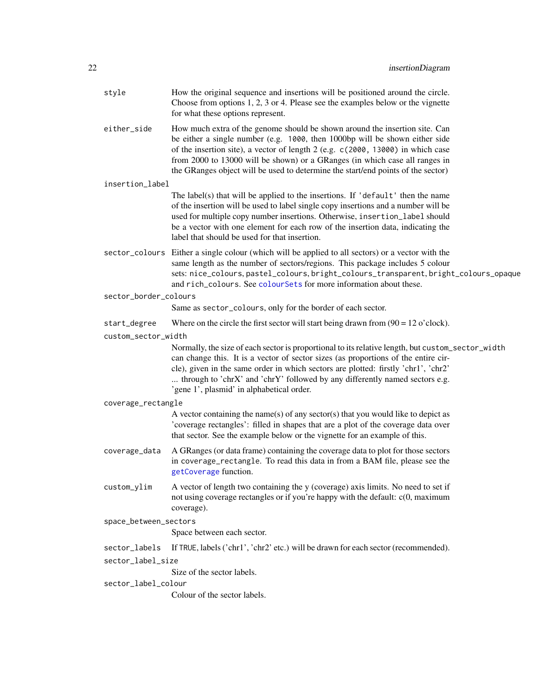<span id="page-21-0"></span>

| style                 | How the original sequence and insertions will be positioned around the circle.<br>Choose from options $1, 2, 3$ or 4. Please see the examples below or the vignette<br>for what these options represent.                                                                                                                                                                                                         |  |  |
|-----------------------|------------------------------------------------------------------------------------------------------------------------------------------------------------------------------------------------------------------------------------------------------------------------------------------------------------------------------------------------------------------------------------------------------------------|--|--|
| either_side           | How much extra of the genome should be shown around the insertion site. Can<br>be either a single number (e.g. 1000, then 1000bp will be shown either side<br>of the insertion site), a vector of length 2 (e.g. c(2000, 13000) in which case<br>from 2000 to 13000 will be shown) or a GRanges (in which case all ranges in<br>the GRanges object will be used to determine the start/end points of the sector) |  |  |
| insertion_label       |                                                                                                                                                                                                                                                                                                                                                                                                                  |  |  |
|                       | The label(s) that will be applied to the insertions. If 'default' then the name<br>of the insertion will be used to label single copy insertions and a number will be<br>used for multiple copy number insertions. Otherwise, insertion_label should<br>be a vector with one element for each row of the insertion data, indicating the<br>label that should be used for that insertion.                         |  |  |
|                       | sector_colours Either a single colour (which will be applied to all sectors) or a vector with the<br>same length as the number of sectors/regions. This package includes 5 colour<br>sets: nice_colours, pastel_colours, bright_colours_transparent, bright_colours_opaque<br>and rich_colours. See colourSets for more information about these.                                                                 |  |  |
| sector_border_colours | Same as sector_colours, only for the border of each sector.                                                                                                                                                                                                                                                                                                                                                      |  |  |
| start_degree          | Where on the circle the first sector will start being drawn from $(90 = 12 \text{ o'clock})$ .                                                                                                                                                                                                                                                                                                                   |  |  |
| custom_sector_width   |                                                                                                                                                                                                                                                                                                                                                                                                                  |  |  |
|                       | Normally, the size of each sector is proportional to its relative length, but custom_sector_width<br>can change this. It is a vector of sector sizes (as proportions of the entire cir-<br>cle), given in the same order in which sectors are plotted: firstly 'chr1', 'chr2'<br>through to 'chrX' and 'chrY' followed by any differently named sectors e.g.<br>'gene 1', plasmid' in alphabetical order.        |  |  |
| coverage_rectangle    |                                                                                                                                                                                                                                                                                                                                                                                                                  |  |  |
|                       | A vector containing the name(s) of any sector(s) that you would like to depict as<br>'coverage rectangles': filled in shapes that are a plot of the coverage data over<br>that sector. See the example below or the vignette for an example of this.                                                                                                                                                             |  |  |
| coverage_data         | A GRanges (or data frame) containing the coverage data to plot for those sectors<br>in coverage_rectangle. To read this data in from a BAM file, please see the<br>getCoverage function.                                                                                                                                                                                                                         |  |  |
| custom_ylim           | A vector of length two containing the y (coverage) axis limits. No need to set if<br>not using coverage rectangles or if you're happy with the default: $c(0, \text{maximum})$<br>coverage).                                                                                                                                                                                                                     |  |  |
| space_between_sectors |                                                                                                                                                                                                                                                                                                                                                                                                                  |  |  |
|                       | Space between each sector.                                                                                                                                                                                                                                                                                                                                                                                       |  |  |
| sector_labels         | If TRUE, labels ('chr1', 'chr2' etc.) will be drawn for each sector (recommended).                                                                                                                                                                                                                                                                                                                               |  |  |
|                       | sector_label_size                                                                                                                                                                                                                                                                                                                                                                                                |  |  |
|                       | Size of the sector labels.                                                                                                                                                                                                                                                                                                                                                                                       |  |  |
| sector_label_colour   |                                                                                                                                                                                                                                                                                                                                                                                                                  |  |  |
|                       | Colour of the sector labels.                                                                                                                                                                                                                                                                                                                                                                                     |  |  |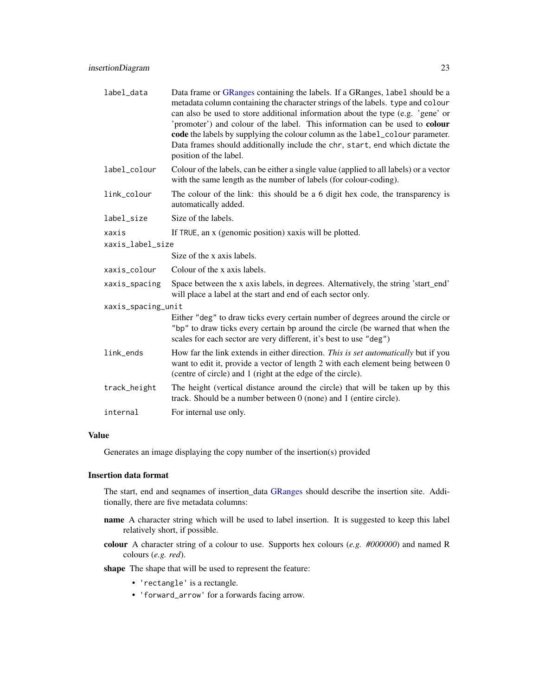<span id="page-22-0"></span>

| label_data         | Data frame or GRanges containing the labels. If a GRanges, label should be a<br>metadata column containing the character strings of the labels. type and colour<br>can also be used to store additional information about the type (e.g. 'gene' or<br>'promoter') and colour of the label. This information can be used to colour<br>code the labels by supplying the colour column as the label_colour parameter.<br>Data frames should additionally include the chr, start, end which dictate the<br>position of the label. |  |
|--------------------|-------------------------------------------------------------------------------------------------------------------------------------------------------------------------------------------------------------------------------------------------------------------------------------------------------------------------------------------------------------------------------------------------------------------------------------------------------------------------------------------------------------------------------|--|
| label_colour       | Colour of the labels, can be either a single value (applied to all labels) or a vector<br>with the same length as the number of labels (for colour-coding).                                                                                                                                                                                                                                                                                                                                                                   |  |
| link_colour        | The colour of the link: this should be a 6 digit hex code, the transparency is<br>automatically added.                                                                                                                                                                                                                                                                                                                                                                                                                        |  |
| label_size         | Size of the labels.                                                                                                                                                                                                                                                                                                                                                                                                                                                                                                           |  |
| xaxis              | If TRUE, an x (genomic position) xaxis will be plotted.                                                                                                                                                                                                                                                                                                                                                                                                                                                                       |  |
| xaxis_label_size   |                                                                                                                                                                                                                                                                                                                                                                                                                                                                                                                               |  |
|                    | Size of the x axis labels.                                                                                                                                                                                                                                                                                                                                                                                                                                                                                                    |  |
| xaxis_colour       | Colour of the x axis labels.                                                                                                                                                                                                                                                                                                                                                                                                                                                                                                  |  |
| xaxis_spacing      | Space between the x axis labels, in degrees. Alternatively, the string 'start_end'<br>will place a label at the start and end of each sector only.                                                                                                                                                                                                                                                                                                                                                                            |  |
| xaxis_spacing_unit |                                                                                                                                                                                                                                                                                                                                                                                                                                                                                                                               |  |
|                    | Either "deg" to draw ticks every certain number of degrees around the circle or<br>"bp" to draw ticks every certain bp around the circle (be warned that when the<br>scales for each sector are very different, it's best to use "deg")                                                                                                                                                                                                                                                                                       |  |
| link_ends          | How far the link extends in either direction. This is set automatically but if you<br>want to edit it, provide a vector of length 2 with each element being between 0<br>(centre of circle) and 1 (right at the edge of the circle).                                                                                                                                                                                                                                                                                          |  |
| track_height       | The height (vertical distance around the circle) that will be taken up by this<br>track. Should be a number between $0$ (none) and $1$ (entire circle).                                                                                                                                                                                                                                                                                                                                                                       |  |
| internal           | For internal use only.                                                                                                                                                                                                                                                                                                                                                                                                                                                                                                        |  |

#### Value

Generates an image displaying the copy number of the insertion(s) provided

#### Insertion data format

The start, end and seqnames of insertion\_data [GRanges](#page-0-0) should describe the insertion site. Additionally, there are five metadata columns:

- name A character string which will be used to label insertion. It is suggested to keep this label relatively short, if possible.
- colour A character string of a colour to use. Supports hex colours (*e.g. #000000*) and named R colours (*e.g. red*).

shape The shape that will be used to represent the feature:

- 'rectangle' is a rectangle.
- 'forward\_arrow' for a forwards facing arrow.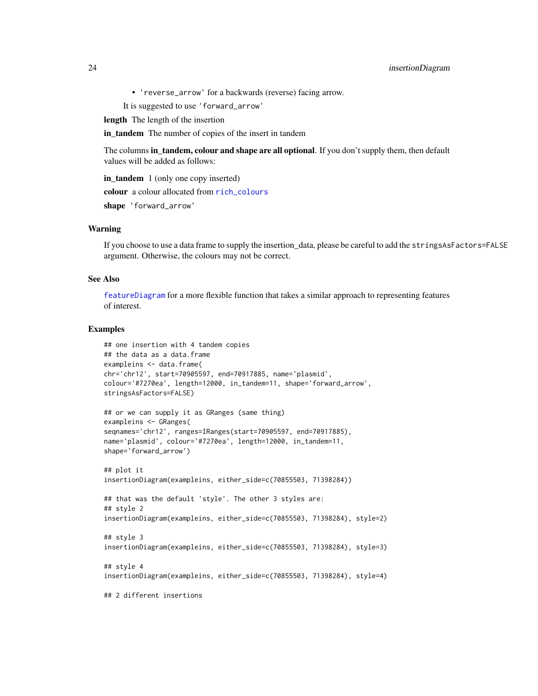<span id="page-23-0"></span>• 'reverse\_arrow' for a backwards (reverse) facing arrow.

It is suggested to use 'forward\_arrow'

length The length of the insertion

in\_tandem The number of copies of the insert in tandem

The columns in tandem, colour and shape are all optional. If you don't supply them, then default values will be added as follows:

in tandem 1 (only one copy inserted)

colour a colour allocated from [rich\\_colours](#page-1-1) shape 'forward\_arrow'

#### Warning

If you choose to use a data frame to supply the insertion\_data, please be careful to add the stringsAsFactors=FALSE argument. Otherwise, the colours may not be correct.

#### See Also

[featureDiagram](#page-8-1) for a more flexible function that takes a similar approach to representing features of interest.

#### Examples

```
## one insertion with 4 tandem copies
## the data as a data.frame
exampleins <- data.frame(
chr='chr12', start=70905597, end=70917885, name='plasmid',
colour='#7270ea', length=12000, in_tandem=11, shape='forward_arrow',
stringsAsFactors=FALSE)
## or we can supply it as GRanges (same thing)
exampleins <- GRanges(
seqnames='chr12', ranges=IRanges(start=70905597, end=70917885),
name='plasmid', colour='#7270ea', length=12000, in_tandem=11,
shape='forward_arrow')
## plot it
insertionDiagram(exampleins, either_side=c(70855503, 71398284))
## that was the default 'style'. The other 3 styles are:
## style 2
insertionDiagram(exampleins, either_side=c(70855503, 71398284), style=2)
## style 3
insertionDiagram(exampleins, either_side=c(70855503, 71398284), style=3)
## style 4
insertionDiagram(exampleins, either_side=c(70855503, 71398284), style=4)
## 2 different insertions
```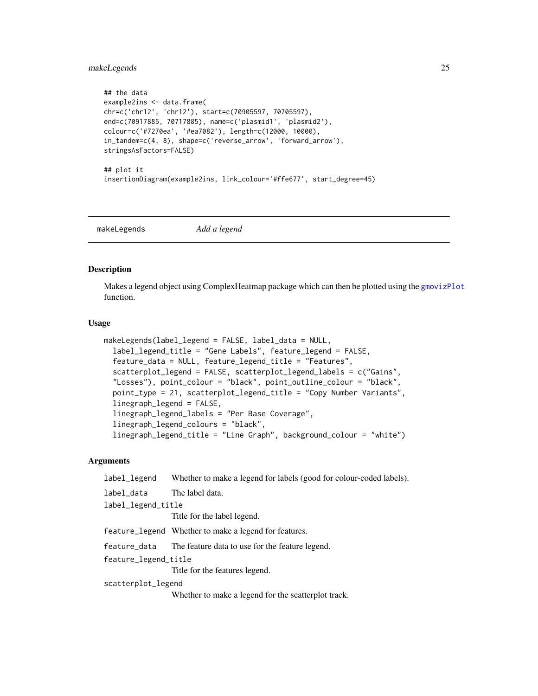#### <span id="page-24-0"></span>makeLegends 25

```
## the data
example2ins <- data.frame(
chr=c('chr12', 'chr12'), start=c(70905597, 70705597),
end=c(70917885, 70717885), name=c('plasmid1', 'plasmid2'),
colour=c('#7270ea', '#ea7082'), length=c(12000, 10000),
in_tandem=c(4, 8), shape=c('reverse_arrow', 'forward_arrow'),
stringsAsFactors=FALSE)
## plot it
insertionDiagram(example2ins, link_colour='#ffe677', start_degree=45)
```
<span id="page-24-1"></span>makeLegends *Add a legend*

#### Description

Makes a legend object using ComplexHeatmap package which can then be plotted using the [gmovizPlot](#page-19-1) function.

#### Usage

```
makeLegends(label_legend = FALSE, label_data = NULL,
  label_legend_title = "Gene Labels", feature_legend = FALSE,
  feature_data = NULL, feature_legend_title = "Features",
  scatterplot_legend = FALSE, scatterplot_legend_labels = c("Gains",
  "Losses"), point_colour = "black", point_outline_colour = "black",
 point_type = 21, scatterplot_legend_title = "Copy Number Variants",
  linegraph_legend = FALSE,
  linegraph_legend_labels = "Per Base Coverage",
  linegraph_legend_colours = "black",
  linegraph_legend_title = "Line Graph", background_colour = "white")
```
#### **Arguments**

| label_legend         | Whether to make a legend for labels (good for colour-coded labels). |
|----------------------|---------------------------------------------------------------------|
| label_data           | The label data.                                                     |
| label_legend_title   |                                                                     |
|                      | Title for the label legend.                                         |
|                      | feature_legend Whether to make a legend for features.               |
| feature_data         | The feature data to use for the feature legend.                     |
| feature_legend_title |                                                                     |
|                      | Title for the features legend.                                      |
| scatterplot_legend   |                                                                     |
|                      | Whether to make a legend for the scatterplot track.                 |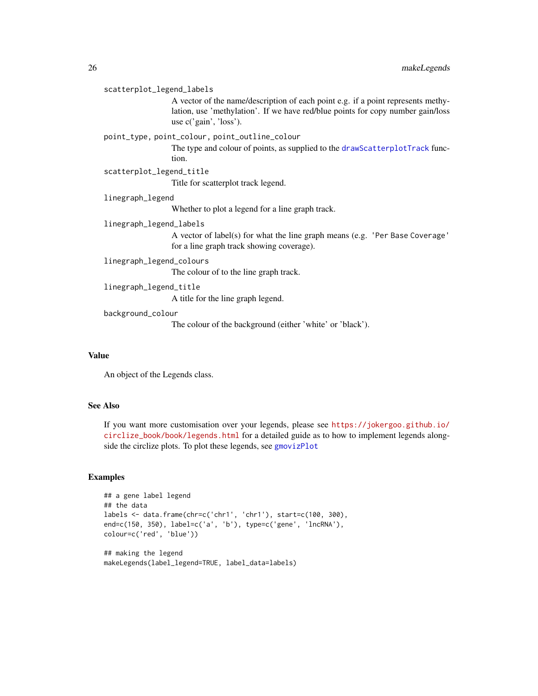#### <span id="page-25-0"></span>scatterplot\_legend\_labels

A vector of the name/description of each point e.g. if a point represents methylation, use 'methylation'. If we have red/blue points for copy number gain/loss use c('gain', 'loss').

#### point\_type, point\_colour, point\_outline\_colour

The type and colour of points, as supplied to the [drawScatterplotTrack](#page-6-1) function.

scatterplot\_legend\_title

Title for scatterplot track legend.

#### linegraph\_legend

Whether to plot a legend for a line graph track.

#### linegraph\_legend\_labels

A vector of label(s) for what the line graph means (e.g. 'Per Base Coverage' for a line graph track showing coverage).

#### linegraph\_legend\_colours

The colour of to the line graph track.

linegraph\_legend\_title

A title for the line graph legend.

#### background\_colour

The colour of the background (either 'white' or 'black').

#### Value

An object of the Legends class.

#### See Also

If you want more customisation over your legends, please see [https://jokergoo.github.io/](https://jokergoo.github.io/circlize_book/book/legends.html) [circlize\\_book/book/legends.html](https://jokergoo.github.io/circlize_book/book/legends.html) for a detailed guide as to how to implement legends alongside the circlize plots. To plot these legends, see [gmovizPlot](#page-19-1)

#### Examples

```
## a gene label legend
## the data
labels <- data.frame(chr=c('chr1', 'chr1'), start=c(100, 300),
end=c(150, 350), label=c('a', 'b'), type=c('gene', 'lncRNA'),
colour=c('red', 'blue'))
```

```
## making the legend
makeLegends(label_legend=TRUE, label_data=labels)
```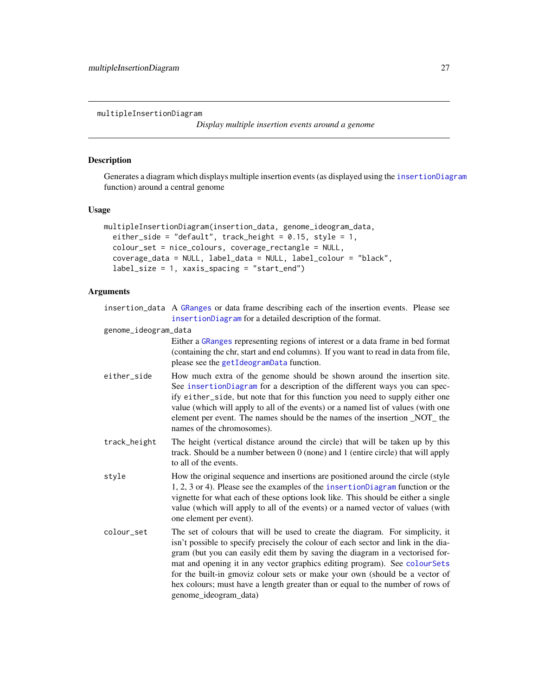<span id="page-26-0"></span>multipleInsertionDiagram

*Display multiple insertion events around a genome*

#### Description

Generates a diagram which displays multiple insertion events (as displayed using the [insertionDiagram](#page-20-1) function) around a central genome

#### Usage

```
multipleInsertionDiagram(insertion_data, genome_ideogram_data,
  either_side = "default", track_height = 0.15, style = 1,
  colour_set = nice_colours, coverage_rectangle = NULL,
  coverage_data = NULL, label_data = NULL, label_colour = "black",
  label_size = 1, xaxis_spacing = "start_end")
```
#### Arguments

| insertion_data A GRanges or data frame describing each of the insertion events. Please see |
|--------------------------------------------------------------------------------------------|
| insertion Diagram for a detailed description of the format.                                |

genome\_ideogram\_data

Either a [GRanges](#page-0-0) representing regions of interest or a data frame in bed format (containing the chr, start and end columns). If you want to read in data from file, please see the [getIdeogramData](#page-13-1) function.

- either\_side How much extra of the genome should be shown around the insertion site. See [insertionDiagram](#page-20-1) for a description of the different ways you can specify either\_side, but note that for this function you need to supply either one value (which will apply to all of the events) or a named list of values (with one element per event. The names should be the names of the insertion \_NOT\_ the names of the chromosomes).
- track\_height The height (vertical distance around the circle) that will be taken up by this track. Should be a number between 0 (none) and 1 (entire circle) that will apply to all of the events.
- style How the original sequence and insertions are positioned around the circle (style 1, 2, 3 or 4). Please see the examples of the [insertionDiagram](#page-20-1) function or the vignette for what each of these options look like. This should be either a single value (which will apply to all of the events) or a named vector of values (with one element per event).
- colour\_set The set of colours that will be used to create the diagram. For simplicity, it isn't possible to specify precisely the colour of each sector and link in the diagram (but you can easily edit them by saving the diagram in a vectorised format and opening it in any vector graphics editing program). See [colourSets](#page-1-2) for the built-in gmoviz colour sets or make your own (should be a vector of hex colours; must have a length greater than or equal to the number of rows of genome\_ideogram\_data)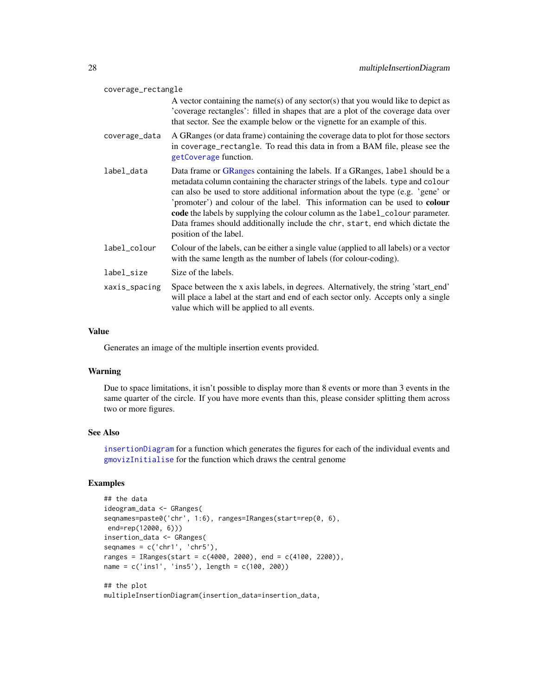<span id="page-27-0"></span>

| coverage_rectangle |                                                                                                                                                                                                                                                                                                                                                                                                                                                                                                                               |  |
|--------------------|-------------------------------------------------------------------------------------------------------------------------------------------------------------------------------------------------------------------------------------------------------------------------------------------------------------------------------------------------------------------------------------------------------------------------------------------------------------------------------------------------------------------------------|--|
|                    | A vector containing the name(s) of any sector(s) that you would like to depict as<br>'coverage rectangles': filled in shapes that are a plot of the coverage data over<br>that sector. See the example below or the vignette for an example of this.                                                                                                                                                                                                                                                                          |  |
| coverage_data      | A GRanges (or data frame) containing the coverage data to plot for those sectors<br>in coverage_rectangle. To read this data in from a BAM file, please see the<br>getCoverage function.                                                                                                                                                                                                                                                                                                                                      |  |
| label_data         | Data frame or GRanges containing the labels. If a GRanges, label should be a<br>metadata column containing the character strings of the labels. type and colour<br>can also be used to store additional information about the type (e.g. 'gene' or<br>'promoter') and colour of the label. This information can be used to colour<br>code the labels by supplying the colour column as the label_colour parameter.<br>Data frames should additionally include the chr, start, end which dictate the<br>position of the label. |  |
| label_colour       | Colour of the labels, can be either a single value (applied to all labels) or a vector<br>with the same length as the number of labels (for colour-coding).                                                                                                                                                                                                                                                                                                                                                                   |  |
| label_size         | Size of the labels.                                                                                                                                                                                                                                                                                                                                                                                                                                                                                                           |  |
| xaxis_spacing      | Space between the x axis labels, in degrees. Alternatively, the string 'start_end'<br>will place a label at the start and end of each sector only. Accepts only a single<br>value which will be applied to all events.                                                                                                                                                                                                                                                                                                        |  |

#### Value

Generates an image of the multiple insertion events provided.

#### Warning

Due to space limitations, it isn't possible to display more than 8 events or more than 3 events in the same quarter of the circle. If you have more events than this, please consider splitting them across two or more figures.

#### See Also

[insertionDiagram](#page-20-1) for a function which generates the figures for each of the individual events and [gmovizInitialise](#page-16-1) for the function which draws the central genome

#### Examples

```
## the data
ideogram_data <- GRanges(
seqnames=paste0('chr', 1:6), ranges=IRanges(start=rep(0, 6),
end=rep(12000, 6)))
insertion_data <- GRanges(
seqnames = c('chr1', 'chr5'),ranges = IRanges(start = c(4000, 2000), end = c(4100, 2200)),
name = c('ins1', 'ins5'), length = c(100, 200))
## the plot
```
multipleInsertionDiagram(insertion\_data=insertion\_data,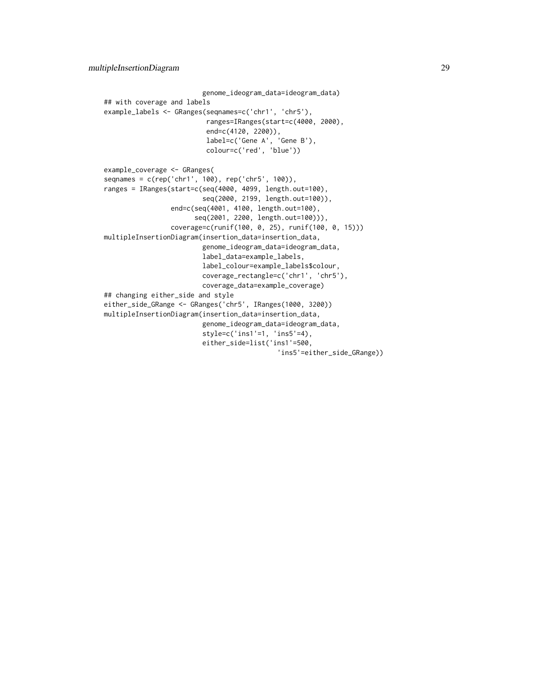```
genome_ideogram_data=ideogram_data)
## with coverage and labels
example_labels <- GRanges(seqnames=c('chr1', 'chr5'),
                          ranges=IRanges(start=c(4000, 2000),
                          end=c(4120, 2200)),
                          label=c('Gene A', 'Gene B'),
                          colour=c('red', 'blue'))
example_coverage <- GRanges(
seqnames = c(rep('chr1', 100), rep('chr5', 100)),
ranges = IRanges(start=c(seq(4000, 4099, length.out=100),
                         seq(2000, 2199, length.out=100)),
                 end=c(seq(4001, 4100, length.out=100),
                       seq(2001, 2200, length.out=100))),
                 coverage=c(runif(100, 0, 25), runif(100, 0, 15)))
multipleInsertionDiagram(insertion_data=insertion_data,
                        genome_ideogram_data=ideogram_data,
                         label_data=example_labels,
                         label_colour=example_labels$colour,
                         coverage_rectangle=c('chr1', 'chr5'),
                         coverage_data=example_coverage)
## changing either_side and style
either_side_GRange <- GRanges('chr5', IRanges(1000, 3200))
multipleInsertionDiagram(insertion_data=insertion_data,
                         genome_ideogram_data=ideogram_data,
                         style=c('ins1'=1, 'ins5'=4),
                         either_side=list('ins1'=500,
                                            'ins5'=either_side_GRange))
```